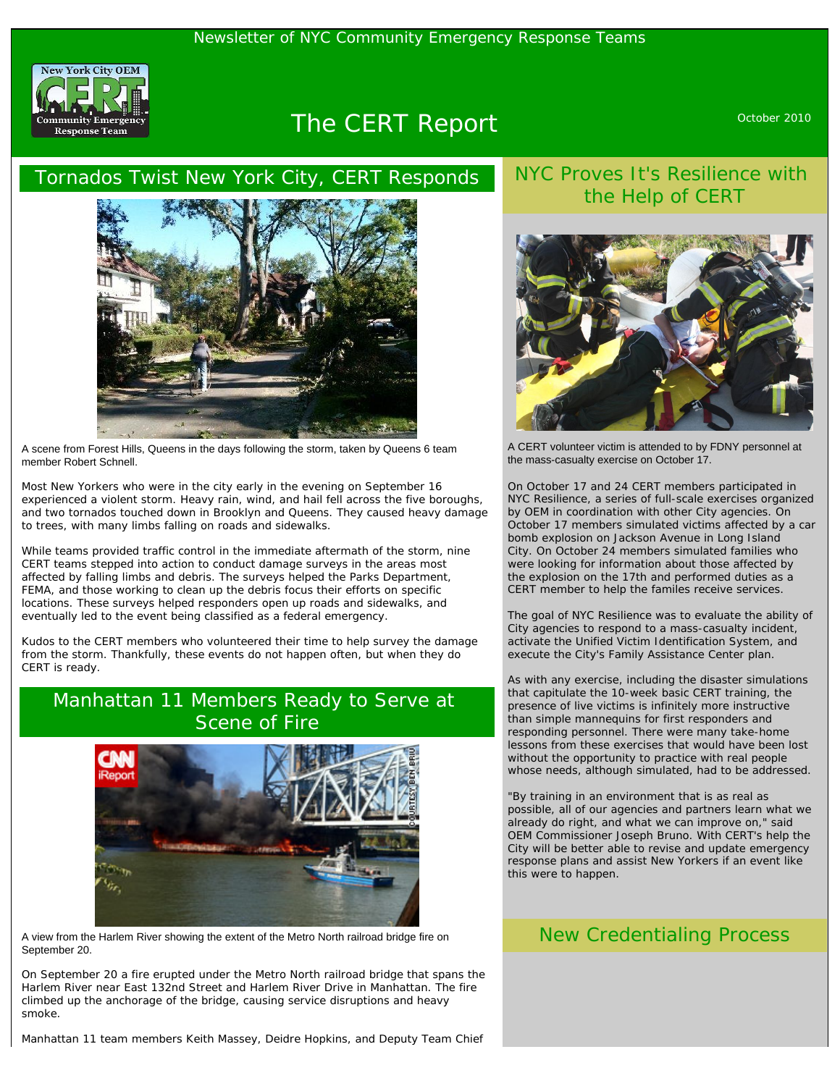

# The CERT Report **CERT** Report October 2010

#### Tornados Twist New York City, CERT Responds



A scene from Forest Hills, Queens in the days following the storm, taken by Queens 6 team member Robert Schnell.

Most New Yorkers who were in the city early in the evening on September 16 experienced a violent storm. Heavy rain, wind, and hail fell across the five boroughs, and two tornados touched down in Brooklyn and Queens. They caused heavy damage to trees, with many limbs falling on roads and sidewalks.

While teams provided traffic control in the immediate aftermath of the storm, nine CERT teams stepped into action to conduct damage surveys in the areas most affected by falling limbs and debris. The surveys helped the Parks Department, FEMA, and those working to clean up the debris focus their efforts on specific locations. These surveys helped responders open up roads and sidewalks, and eventually led to the event being classified as a federal emergency.

Kudos to the CERT members who volunteered their time to help survey the damage from the storm. Thankfully, these events do not happen often, but when they do CERT is ready.

#### Manhattan 11 Members Ready to Serve at Scene of Fire



A view from the Harlem River showing the extent of the Metro North railroad bridge fire on September 20.

On September 20 a fire erupted under the Metro North railroad bridge that spans the Harlem River near East 132nd Street and Harlem River Drive in Manhattan. The fire climbed up the anchorage of the bridge, causing service disruptions and heavy smoke.

Manhattan 11 team members Keith Massey, Deidre Hopkins, and Deputy Team Chief

### NYC Proves It's Resilience with the Help of CERT



A CERT volunteer victim is attended to by FDNY personnel at the mass-casualty exercise on October 17.

On October 17 and 24 CERT members participated in NYC Resilience, a series of full-scale exercises organized by OEM in coordination with other City agencies. On October 17 members simulated victims affected by a car bomb explosion on Jackson Avenue in Long Island City. On October 24 members simulated families who were looking for information about those affected by the explosion on the 17th and performed duties as a CERT member to help the familes receive services.

The goal of NYC Resilience was to evaluate the ability of City agencies to respond to a mass-casualty incident, activate the Unified Victim Identification System, and execute the City's Family Assistance Center plan.

As with any exercise, including the disaster simulations that capitulate the 10-week basic CERT training, the presence of live victims is infinitely more instructive than simple mannequins for first responders and responding personnel. There were many take-home lessons from these exercises that would have been lost without the opportunity to practice with real people whose needs, although simulated, had to be addressed.

"By training in an environment that is as real as possible, all of our agencies and partners learn what we already do right, and what we can improve on," said OEM Commissioner Joseph Bruno. With CERT's help the City will be better able to revise and update emergency response plans and assist New Yorkers if an event like this were to happen.

#### New Credentialing Process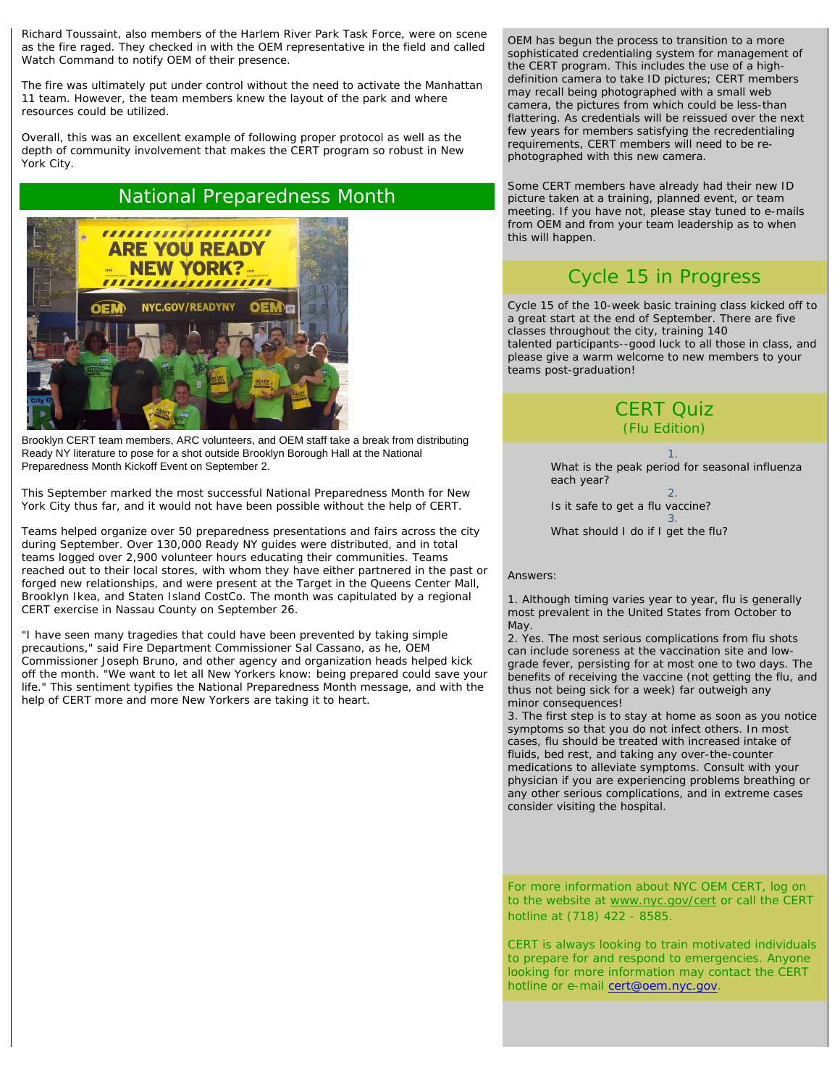Richard Toussaint, also members of the Harlem River Park Task Force, were on scene as the fire raged. They checked in with the OEM representative in the field and called Watch Command to notify OEM of their presence.

The fire was ultimately put under control without the need to activate the Manhattan 11 team. However, the team members knew the layout of the park and where resources could be utilized.

Overall, this was an excellent example of following proper protocol as well as the depth of community involvement that makes the CERT program so robust in New York City.

#### National Preparedness Month



Brooklyn CERT team members, ARC volunteers, and OEM staff take a break from distributing Ready NY literature to pose for a shot outside Brooklyn Borough Hall at the National Preparedness Month Kickoff Event on September 2.

This September marked the most successful National Preparedness Month for New York City thus far, and it would not have been possible without the help of CERT.

Teams helped organize over 50 preparedness presentations and fairs across the city during September. Over 130,000 Ready NY guides were distributed, and in total teams logged over 2,900 volunteer hours educating their communities. Teams reached out to their local stores, with whom they have either partnered in the past or forged new relationships, and were present at the Target in the Queens Center Mall, Brooklyn Ikea, and Staten Island CostCo. The month was capitulated by a regional CERT exercise in Nassau County on September 26.

"I have seen many tragedies that could have been prevented by taking simple precautions," said Fire Department Commissioner Sal Cassano, as he, OEM Commissioner Joseph Bruno, and other agency and organization heads helped kick off the month. "We want to let all New Yorkers know: being prepared could save your life." This sentiment typifies the National Preparedness Month message, and with the help of CERT more and more New Yorkers are taking it to heart.

OEM has begun the process to transition to a more sophisticated credentialing system for management of the CERT program. This includes the use of a highdefinition camera to take ID pictures; CERT members may recall being photographed with a small web camera, the pictures from which could be less-than flattering. As credentials will be reissued over the next few years for members satisfying the recredentialing requirements, CERT members will need to be rephotographed with this new camera.

Some CERT members have already had their new ID picture taken at a training, planned event, or team meeting. If you have not, please stay tuned to e-mails from OEM and from your team leadership as to when this will happen.

## Cycle 15 in Progress

Cycle 15 of the 10-week basic training class kicked off to a great start at the end of September. There are five classes throughout the city, training 140 talented participants--good luck to all those in class, and please give a warm welcome to new members to your teams post-graduation!

#### CERT Quiz (Flu Edition)

1. What is the peak period for seasonal influenza each year? 2. Is it safe to get a flu vaccine? 3. What should I do if I get the flu?

#### Answers:

1. *Although timing varies year to year, flu is generally most prevalent in the United States from October to May.* 

2. *Yes. The most serious complications from flu shots can include soreness at the vaccination site and lowgrade fever, persisting for at most one to two days. The benefits of receiving the vaccine (not getting the flu, and thus not being sick for a week) far outweigh any minor consequences!*

3. *The first step is to stay at home as soon as you notice symptoms so that you do not infect others. In most cases, flu should be treated with increased intake of fluids, bed rest, and taking any over-the-counter medications to alleviate symptoms. Consult with your physician if you are experiencing problems breathing or any other serious complications, and in extreme cases consider visiting the hospital.*

For more information about NYC OEM CERT, log on to the website at [www.nyc.gov/cert](http://www.nyc.gov/cert) or call the CERT hotline at (718) 422 - 8585.

CERT is always looking to train motivated individuals to prepare for and respond to emergencies. Anyone looking for more information may contact the CERT hotline or e-mail [cert@oem.nyc.gov](mailto:cert@oem.nyc.gov).